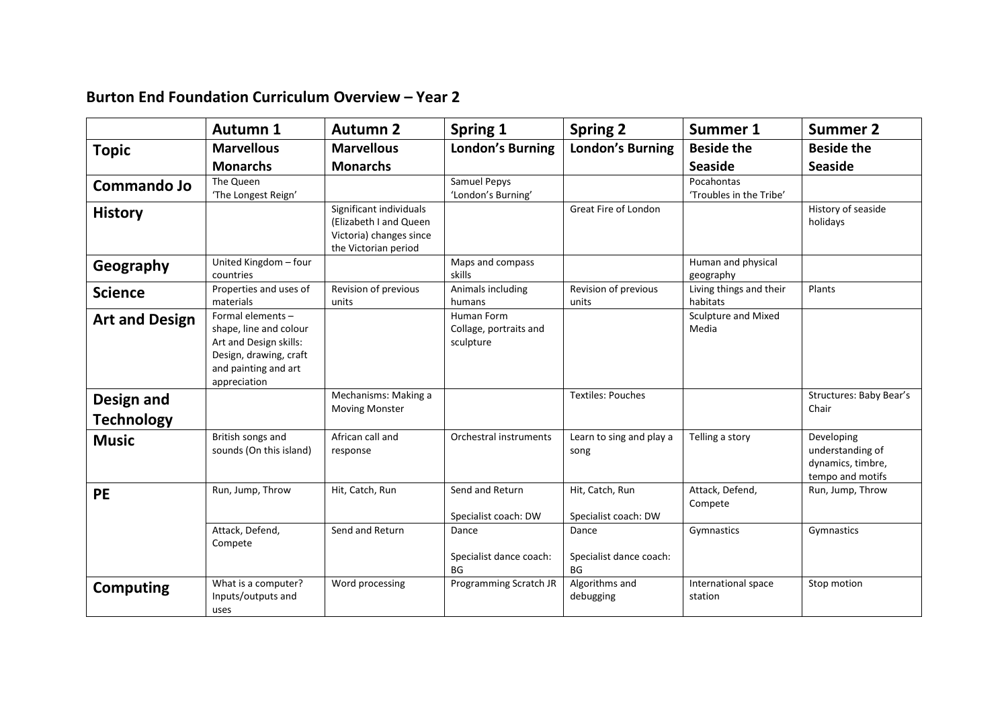## **Burton End Foundation Curriculum Overview – Year 2**

|                                        | <b>Autumn 1</b>                                                                                                                         | <b>Autumn 2</b>                                                                                      | Spring 1                                          | <b>Spring 2</b>                         | Summer 1                              | <b>Summer 2</b>                                                         |
|----------------------------------------|-----------------------------------------------------------------------------------------------------------------------------------------|------------------------------------------------------------------------------------------------------|---------------------------------------------------|-----------------------------------------|---------------------------------------|-------------------------------------------------------------------------|
| <b>Topic</b>                           | <b>Marvellous</b>                                                                                                                       | <b>Marvellous</b>                                                                                    | <b>London's Burning</b>                           | <b>London's Burning</b>                 | <b>Beside the</b>                     | <b>Beside the</b>                                                       |
|                                        | <b>Monarchs</b>                                                                                                                         | <b>Monarchs</b>                                                                                      |                                                   |                                         | <b>Seaside</b>                        | <b>Seaside</b>                                                          |
| Commando Jo                            | The Queen<br>'The Longest Reign'                                                                                                        |                                                                                                      | Samuel Pepys<br>'London's Burning'                |                                         | Pocahontas<br>'Troubles in the Tribe' |                                                                         |
| <b>History</b>                         |                                                                                                                                         | Significant individuals<br>(Elizabeth I and Queen<br>Victoria) changes since<br>the Victorian period |                                                   | Great Fire of London                    |                                       | History of seaside<br>holidays                                          |
| Geography                              | United Kingdom - four<br>countries                                                                                                      |                                                                                                      | Maps and compass<br>skills                        |                                         | Human and physical<br>geography       |                                                                         |
| <b>Science</b>                         | Properties and uses of<br>materials                                                                                                     | Revision of previous<br>units                                                                        | Animals including<br>humans                       | Revision of previous<br>units           | Living things and their<br>habitats   | Plants                                                                  |
| <b>Art and Design</b>                  | Formal elements -<br>shape, line and colour<br>Art and Design skills:<br>Design, drawing, craft<br>and painting and art<br>appreciation |                                                                                                      | Human Form<br>Collage, portraits and<br>sculpture |                                         | <b>Sculpture and Mixed</b><br>Media   |                                                                         |
| <b>Design and</b><br><b>Technology</b> |                                                                                                                                         | Mechanisms: Making a<br><b>Moving Monster</b>                                                        |                                                   | <b>Textiles: Pouches</b>                |                                       | Structures: Baby Bear's<br>Chair                                        |
| <b>Music</b>                           | British songs and<br>sounds (On this island)                                                                                            | African call and<br>response                                                                         | Orchestral instruments                            | Learn to sing and play a<br>song        | Telling a story                       | Developing<br>understanding of<br>dynamics, timbre,<br>tempo and motifs |
| PE                                     | Run, Jump, Throw                                                                                                                        | Hit, Catch, Run                                                                                      | Send and Return<br>Specialist coach: DW           | Hit, Catch, Run<br>Specialist coach: DW | Attack, Defend,<br>Compete            | Run, Jump, Throw                                                        |
|                                        | Attack, Defend,<br>Compete                                                                                                              | Send and Return                                                                                      | Dance<br>Specialist dance coach:<br>BG            | Dance<br>Specialist dance coach:<br>BG  | Gymnastics                            | Gymnastics                                                              |
| <b>Computing</b>                       | What is a computer?<br>Inputs/outputs and<br>uses                                                                                       | Word processing                                                                                      | Programming Scratch JR                            | Algorithms and<br>debugging             | International space<br>station        | Stop motion                                                             |